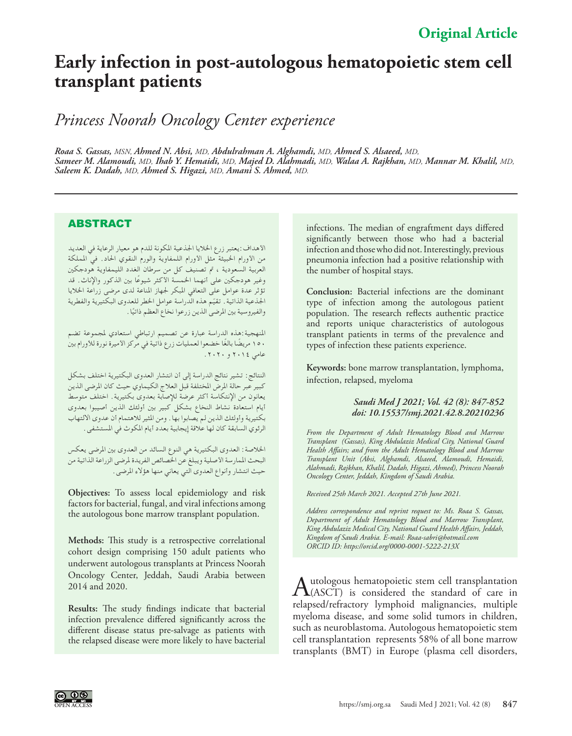## **Early infection in post-autologous hematopoietic stem cell transplant patients**

*Princess Noorah Oncology Center experience*

*Roaa S. Gassas, MSN, Ahmed N. Absi, MD, Abdulrahman A. Alghamdi, MD, Ahmed S. Alsaeed, MD, Sameer M. Alamoudi, MD, Ihab Y. Hemaidi, MD, Majed D. Alahmadi, MD, Walaa A. Rajkhan, MD, Mannar M. Khalil, MD, Saleem K. Dadah, MD, Ahmed S. Higazi, MD, Amani S. Ahmed, MD.* 

## ABSTRACT

األهداف:يعتبر زرع اخلاليا اجلذعية املكونة للدم هو معيار الرعاية في العديد من األورام اخلبيثة مثل األورام اللمفاوية والورم النقوي احلاد. في اململكة العربية السعودية ، تم تصنيف كل من سرطان الغدد الليمفاوية هودجكين<br>وغير هودجكين على أنهما الحمسة الأكثر شيوعًا بين الذكور والإناث. قد تؤثر عدة عوامل على التعافي المبكر لجهاز المناعة لدى مرضى زراعة الخلايا الجذعية الذاتية . تقيّم هذه الدراسة عوامل الخطر للعدوى البكتيرية والفطرية والفيروسية بين المرضى الذين زرعوا نخاع العظم ذاتيًا .

المنهجية:هذه الدراسة عبارة عن تصميم ارتباطي استعادي لمجموعة تضم 150 ً مريض ً ا بالغا خضعوا لعمليات زرع ذاتية في مركز األميرة نورة لألورام بني عامي 2014 و .2020

النتائج: تشير نتائج الدراسة إلى أن انتشار العدوى البكتيرية اختلف بشكل كبير عبر حالة املرض املختلفة قبل العالج الكيماوي حيث كان املرضى الذين يعانون من اإلنتكاسة أكثر عرضة لإلصابة بعدوى بكتيرية. اختلف متوسط أيام استعادة نشاط النخاع بشكل كبير بني أولئك الذين أصيبوا بعدوى بكتيرية وأولئك الذين لم يصابوا بها. ومن املثير لالهتمام أن عدوى االلتهاب الرئوي السابقة كان لها عالقة إيجابية بعدد أيام املكوث في املستشفى.

اخلالصة: العدوى البكتيرية هي النوع السائد من العدوى بني املرضى يعكس البحث املمارسة األصلية ويبلغ عن اخلصائص الفريدة ملرضى الزراعة الذاتية من حيث انتشار وأنواع العدوى التي يعاني منها هؤالء املرضى.

**Objectives:** To assess local epidemiology and risk factors for bacterial, fungal, and viral infections among the autologous bone marrow transplant population.

**Methods:** This study is a retrospective correlational cohort design comprising 150 adult patients who underwent autologous transplants at Princess Noorah Oncology Center, Jeddah, Saudi Arabia between 2014 and 2020.

**Results:** The study findings indicate that bacterial infection prevalence differed significantly across the different disease status pre-salvage as patients with the relapsed disease were more likely to have bacterial

infections. The median of engraftment days differed significantly between those who had a bacterial infection and those who did not. Interestingly, previous pneumonia infection had a positive relationship with the number of hospital stays.

**Conclusion:** Bacterial infections are the dominant type of infection among the autologous patient population. The research reflects authentic practice and reports unique characteristics of autologous transplant patients in terms of the prevalence and types of infection these patients experience.

**Keywords:** bone marrow transplantation, lymphoma, infection, relapsed, myeloma

## *Saudi Med J 2021; Vol. 42 (8): 847-852 doi: 10.15537/smj.2021.42.8.20210236*

*From the Department of Adult Hematology Blood and Marrow Transplant (Gassas), King Abdulaziz Medical City, National Guard Health Affairs; and from the Adult Hematology Blood and Marrow Transplant Unit (Absi, Alghamdi, Alsaeed, Alamoudi, Hemaidi, Alahmadi, Rajkhan, Khalil, Dadah, Higazi, Ahmed), Princess Noorah Oncology Center, Jeddah, Kingdom of Saudi Arabia.*

*Received 25th March 2021. Accepted 27th June 2021.*

*Address correspondence and reprint request to: Ms. Roaa S. Gassas, Department of Adult Hematology Blood and Marrow Transplant, King Abdulaziz Medical City, National Guard Health Affairs, Jeddah, Kingdom of Saudi Arabia. E-mail: Roaa-sabri@hotmail.com ORCID ID: https://orcid.org/0000-0001-5222-213X*

Autologous hematopoietic stem cell transplantation<br>
(ASCT) is considered the standard of care in relapsed/refractory lymphoid malignancies, multiple myeloma disease, and some solid tumors in children, such as neuroblastoma. Autologous hematopoietic stem cell transplantation represents 58% of all bone marrow transplants (BMT) in Europe (plasma cell disorders,

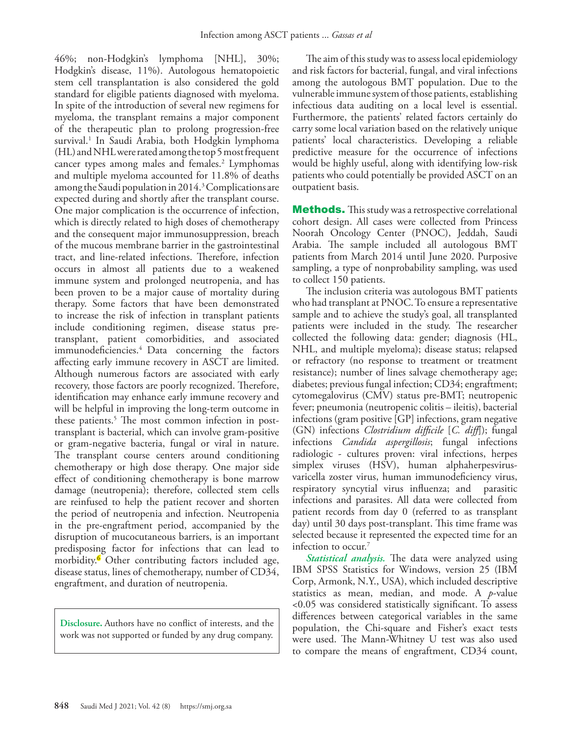46%; non-Hodgkin's lymphoma [NHL], 30%; Hodgkin's disease, 11%). Autologous hematopoietic stem cell transplantation is also considered the gold standard for eligible patients diagnosed with myeloma. In spite of the introduction of several new regimens for myeloma, the transplant remains a major component of the therapeutic plan to prolong progression-free survival.[1](#page-5-0) In Saudi Arabia, both Hodgkin lymphoma (HL) and NHL were rated among the top 5 most frequent cancer types among males and females.<sup>[2](#page-5-1)</sup> Lymphomas and multiple myeloma accounted for 11.8% of deaths among the Saudi population in 2014.<sup>[3](#page-5-2)</sup> Complications are expected during and shortly after the transplant course. One major complication is the occurrence of infection, which is directly related to high doses of chemotherapy and the consequent major immunosuppression, breach of the mucous membrane barrier in the gastrointestinal tract, and line-related infections. Therefore, infection occurs in almost all patients due to a weakened immune system and prolonged neutropenia, and has been proven to be a major cause of mortality during therapy. Some factors that have been demonstrated to increase the risk of infection in transplant patients include conditioning regimen, disease status pretransplant, patient comorbidities, and associated immunodeficiencies.4 Data concerning the factors affecting early immune recovery in ASCT are limited. Although numerous factors are associated with early recovery, those factors are poorly recognized. Therefore, identification may enhance early immune recovery and will be helpful in improving the long-term outcome in these patients.<sup>5</sup> The most common infection in posttransplant is bacterial, which can involve gram-positive or gram-negative bacteria, fungal or viral in nature. The transplant course centers around conditioning chemotherapy or high dose therapy. One major side effect of conditioning chemotherapy is bone marrow damage (neutropenia); therefore, collected stem cells are reinfused to help the patient recover and shorten the period of neutropenia and infection. Neutropenia in the pre-engraftment period, accompanied by the disruption of mucocutaneous barriers, is an important predisposing factor for infections that can lead to morbidity[.6](#page-5-4) Other contributing factors included age, disease status, lines of chemotherapy, number of CD34, engraftment, and duration of neutropenia.

**Disclosure.** Authors have no conflict of interests, and the work was not supported or funded by any drug company.

The aim of this study was to assess local epidemiology and risk factors for bacterial, fungal, and viral infections among the autologous BMT population. Due to the vulnerable immune system of those patients, establishing infectious data auditing on a local level is essential. Furthermore, the patients' related factors certainly do carry some local variation based on the relatively unique patients' local characteristics. Developing a reliable predictive measure for the occurrence of infections would be highly useful, along with identifying low-risk patients who could potentially be provided ASCT on an outpatient basis.

Methods. This study was a retrospective correlational cohort design. All cases were collected from Princess Noorah Oncology Center (PNOC), Jeddah, Saudi Arabia. The sample included all autologous BMT patients from March 2014 until June 2020. Purposive sampling, a type of nonprobability sampling, was used to collect 150 patients.

The inclusion criteria was autologous BMT patients who had transplant at PNOC. To ensure a representative sample and to achieve the study's goal, all transplanted patients were included in the study. The researcher collected the following data: gender; diagnosis (HL, NHL, and multiple myeloma); disease status; relapsed or refractory (no response to treatment or treatment resistance); number of lines salvage chemotherapy age; diabetes; previous fungal infection; CD34; engraftment; cytomegalovirus (CMV) status pre-BMT; neutropenic fever; pneumonia (neutropenic colitis – ileitis), bacterial infections (gram positive [GP] infections, gram negative (GN) infections *Clostridium difficile* [*C. diff*]); fungal infections *Candida aspergillosis*; fungal infections radiologic - cultures proven: viral infections, herpes simplex viruses (HSV), human alphaherpesvirusvaricella zoster virus, human immunodeficiency virus, respiratory syncytial virus influenza; and parasitic infections and parasites. All data were collected from patient records from day 0 (referred to as transplant day) until 30 days post-transplant. This time frame was selected because it represented the expected time for an infection to occur.<sup>[7](#page-5-5)</sup>

*Statistical analysis.* The data were analyzed using IBM SPSS Statistics for Windows, version 25 (IBM Corp, Armonk, N.Y., USA), which included descriptive statistics as mean, median, and mode. A *p*-value <0.05 was considered statistically significant. To assess differences between categorical variables in the same population, the Chi-square and Fisher's exact tests were used. The Mann-Whitney U test was also used to compare the means of engraftment, CD34 count,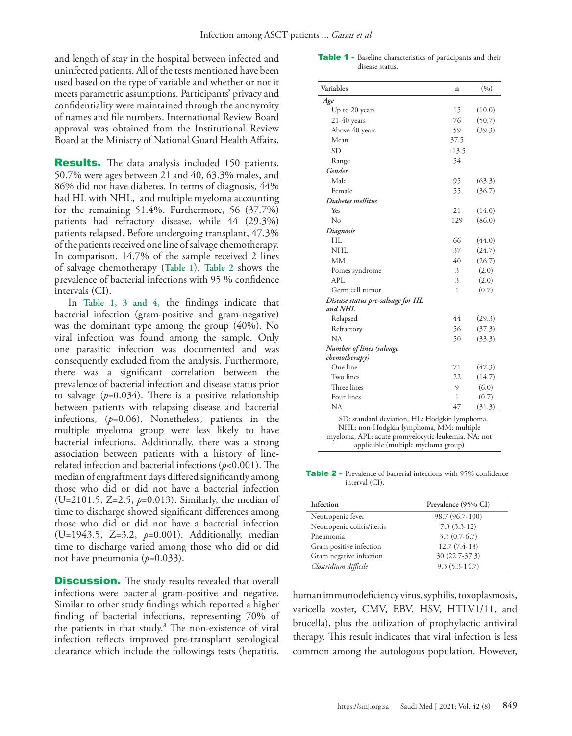and length of stay in the hospital between infected and uninfected patients. All of the tests mentioned have been used based on the type of variable and whether or not it meets parametric assumptions. Participants' privacy and confidentiality were maintained through the anonymity of names and file numbers. International Review Board approval was obtained from the Institutional Review Board at the Ministry of National Guard Health Affairs.

**Results.** The data analysis included 150 patients, 50.7% were ages between 21 and 40, 63.3% males, and 86% did not have diabetes. In terms of diagnosis, 44% had HL with NHL, and multiple myeloma accounting for the remaining 51.4%. Furthermore, 56 (37.7%) patients had refractory disease, while 44 (29.3%) patients relapsed. Before undergoing transplant, 47.3% of the patients received one line of salvage chemotherapy. In comparison, 14.7% of the sample received 2 lines of salvage chemotherapy (**Table 1**). **Table 2** shows the prevalence of bacterial infections with 95 % confidence intervals (CI).

In **Table 1, 3 and 4,** the findings indicate that bacterial infection (gram-positive and gram-negative) was the dominant type among the group (40%). No viral infection was found among the sample. Only one parasitic infection was documented and was consequently excluded from the analysis. Furthermore, there was a significant correlation between the prevalence of bacterial infection and disease status prior to salvage  $(p=0.034)$ . There is a positive relationship between patients with relapsing disease and bacterial infections, (*p*=0.06). Nonetheless, patients in the multiple myeloma group were less likely to have bacterial infections. Additionally, there was a strong association between patients with a history of linerelated infection and bacterial infections (*p*<0.001). The median of engraftment days differed significantly among those who did or did not have a bacterial infection (U=2101.5, Z=2.5, *p*=0.013). Similarly, the median of time to discharge showed significant differences among those who did or did not have a bacterial infection (U=1943.5, Z=3.2, *p*=0.001). Additionally, median time to discharge varied among those who did or did not have pneumonia (*p*=0.033).

**Discussion.** The study results revealed that overall infections were bacterial gram-positive and negative. Similar to other study findings which reported a higher finding of bacterial infections, representing 70% of the patients in that study.<sup>[8](#page-5-6)</sup> The non-existence of viral infection reflects improved pre-transplant serological clearance which include the followings tests (hepatitis,

Table 1 - Baseline characteristics of participants and their disease status.

| Variables                                    | n     | (9/0)  |
|----------------------------------------------|-------|--------|
| Age                                          |       |        |
| Up to 20 years                               | 15    | (10.0) |
| $21-40$ years                                | 76    | (50.7) |
| Above 40 years                               | 59    | (39.3) |
| Mean                                         | 37.5  |        |
| <b>SD</b>                                    | ±13.5 |        |
| Range                                        | 54    |        |
| Gender                                       |       |        |
| Male                                         | 95    | (63.3) |
| Female                                       | 55    | (36.7) |
| Diabetes mellitus                            |       |        |
| Yes                                          | 21    | (14.0) |
| Nο                                           | 129   | (86.0) |
| Diagnosis                                    |       |        |
| HI.                                          | 66    | (44.0) |
| <b>NHL</b>                                   | 37    | (24.7) |
| MM                                           | 40    | (26.7) |
| Pomes syndrome                               | 3     | (2.0)  |
| API.                                         | 3     | (2.0)  |
| Germ cell tumor                              | 1     | (0.7)  |
| Disease status pre-salvage for HL<br>and NHL |       |        |
| Relapsed                                     | 44    | (29.3) |
| Refractory                                   | 56    | (37.3) |
| NA                                           | 50    | (33.3) |
| Number of lines (salvage<br>chemotherapy)    |       |        |
| One line                                     | 71    | (47.3) |
| Two lines                                    | 22    | (14.7) |
| Three lines                                  | 9     | (6.0)  |
| Four lines                                   | 1     | (0.7)  |
| NA                                           | 47    | (31.3) |

NHL: non-Hodgkin lymphoma, MM: multiple myeloma, APL: acute promyelocytic leukemia, NA: not applicable (multiple myeloma group)

Table 2 - Prevalence of bacterial infections with 95% confidence interval (CI).

| Infection                   | Prevalence (95% CI) |
|-----------------------------|---------------------|
| Neutropenic fever           | 98.7 (96.7-100)     |
| Neutropenic colitis/ileitis | $7.3(3.3-12)$       |
| Pneumonia                   | $3.3(0.7-6.7)$      |
| Gram positive infection     | $12.7(7.4-18)$      |
| Gram negative infection     | 30 (22.7-37.3)      |
| Clostridium difficile       | $9.3(5.3-14.7)$     |

human immunodeficiency virus, syphilis, toxoplasmosis, varicella zoster, CMV, EBV, HSV, HTLV1/11, and brucella), plus the utilization of prophylactic antiviral therapy. This result indicates that viral infection is less common among the autologous population. However,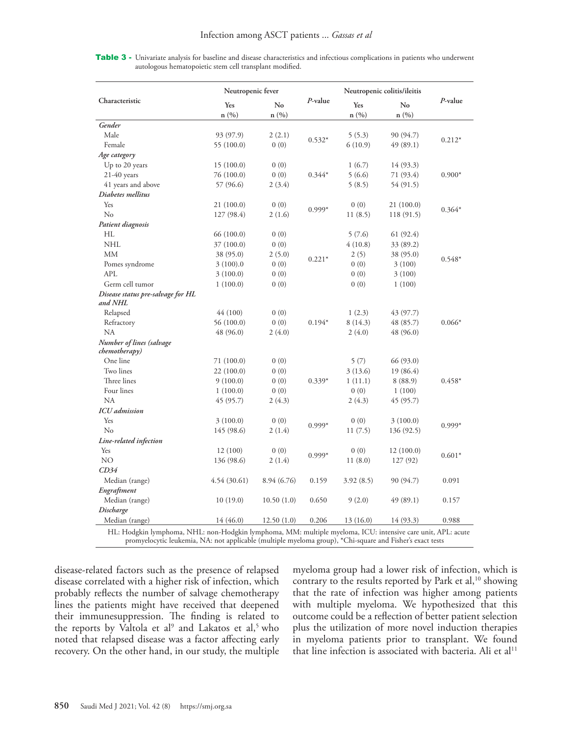| Characteristic                                                                                                                 | Neutropenic fever |             |            | Neutropenic colitis/ileitis |            |            |
|--------------------------------------------------------------------------------------------------------------------------------|-------------------|-------------|------------|-----------------------------|------------|------------|
|                                                                                                                                | Yes<br>n(%)       | No<br>n(%)  | $P$ -value | Yes<br>n(%)                 | No<br>n(%) | $P$ -value |
| Gender                                                                                                                         |                   |             |            |                             |            |            |
| Male                                                                                                                           | 93 (97.9)         | 2(2.1)      |            | 5(5.3)                      | 90 (94.7)  |            |
| Female                                                                                                                         | 55 (100.0)        | 0(0)        | $0.532*$   | 6(10.9)                     | 49 (89.1)  | $0.212*$   |
| Age category                                                                                                                   |                   |             |            |                             |            |            |
| Up to 20 years                                                                                                                 | 15(100.0)         | 0(0)        |            | 1(6.7)                      | 14 (93.3)  |            |
| $21-40$ years                                                                                                                  | 76 (100.0)        | 0(0)        | $0.344*$   | 5(6.6)                      | 71 (93.4)  | $0.900*$   |
| 41 years and above                                                                                                             | 57 (96.6)         | 2(3.4)      |            | 5(8.5)                      | 54 (91.5)  |            |
| Diabetes mellitus                                                                                                              |                   |             |            |                             |            |            |
| Yes                                                                                                                            | 21 (100.0)        | 0(0)        |            | 0(0)                        | 21(100.0)  |            |
| No                                                                                                                             | 127 (98.4)        | 2(1.6)      | $0.999*$   | 11(8.5)                     | 118 (91.5) | $0.364*$   |
| Patient diagnosis                                                                                                              |                   |             |            |                             |            |            |
| HL                                                                                                                             | 66 (100.0)        | 0(0)        |            | 5(7.6)                      | 61 (92.4)  |            |
| <b>NHL</b>                                                                                                                     | 37 (100.0)        | 0(0)        |            | 4(10.8)                     | 33 (89.2)  |            |
| MM                                                                                                                             | 38 (95.0)         | 2(5.0)      |            | 2(5)                        | 38 (95.0)  |            |
| Pomes syndrome                                                                                                                 | 3(100).0          | 0(0)        | $0.221*$   | 0(0)                        | 3(100)     | $0.548*$   |
| <b>APL</b>                                                                                                                     | 3(100.0)          | 0(0)        |            | 0(0)                        | 3(100)     |            |
| Germ cell tumor                                                                                                                | 1(100.0)          | 0(0)        |            | 0(0)                        | 1(100)     |            |
| Disease status pre-salvage for HL<br>and NHL                                                                                   |                   |             |            |                             |            |            |
| Relapsed                                                                                                                       | 44 (100)          | 0(0)        |            | 1(2.3)                      | 43 (97.7)  |            |
| Refractory                                                                                                                     | 56 (100.0)        | 0(0)        | $0.194*$   | 8(14.3)                     | 48 (85.7)  | $0.066*$   |
| <b>NA</b>                                                                                                                      | 48 (96.0)         | 2(4.0)      |            | 2(4.0)                      | 48 (96.0)  |            |
| Number of lines (salvage<br>chemotherapy)                                                                                      |                   |             |            |                             |            |            |
| One line                                                                                                                       | 71(100.0)         | 0(0)        |            | 5(7)                        | 66 (93.0)  |            |
| Two lines                                                                                                                      | 22(100.0)         | 0(0)        |            | 3(13.6)                     | 19 (86.4)  |            |
| Three lines                                                                                                                    | 9(100.0)          | 0(0)        | $0.339*$   | 1(11.1)                     | 8 (88.9)   | $0.458*$   |
| Four lines                                                                                                                     | 1(100.0)          | 0(0)        |            | 0(0)                        | 1(100)     |            |
| NA                                                                                                                             | 45 (95.7)         | 2(4.3)      |            | 2(4.3)                      | 45 (95.7)  |            |
| <b>ICU</b> admission                                                                                                           |                   |             |            |                             |            |            |
| Yes                                                                                                                            | 3(100.0)          | 0(0)        | $0.999*$   | 0(0)                        | 3(100.0)   |            |
| No                                                                                                                             | 145 (98.6)        | 2(1.4)      |            | 11(7.5)                     | 136 (92.5) | $0.999*$   |
| Line-related infection                                                                                                         |                   |             |            |                             |            |            |
| Yes                                                                                                                            | 12(100)           | 0(0)        |            | 0(0)                        | 12(100.0)  |            |
| NO                                                                                                                             | 136 (98.6)        | 2(1.4)      | $0.999*$   | 11(8.0)                     | 127(92)    | $0.601*$   |
| CD34                                                                                                                           |                   |             |            |                             |            |            |
| Median (range)                                                                                                                 | 4.54(30.61)       | 8.94 (6.76) | 0.159      | 3.92(8.5)                   | 90 (94.7)  | 0.091      |
| Engraftment                                                                                                                    |                   |             |            |                             |            |            |
| Median (range)                                                                                                                 | 10(19.0)          | 10.50(1.0)  | 0.650      | 9(2.0)                      | 49 (89.1)  | 0.157      |
| Discharge                                                                                                                      |                   |             |            |                             |            |            |
| Median (range)                                                                                                                 | 14 (46.0)         | 12.50(1.0)  | 0.206      | 13(16.0)                    | 14 (93.3)  | 0.988      |
| $H_1 \cdot H_2$ Hodekin lymphoma $NH_1 \cdot$ non-Hodekin lymphoma $MM_1$ multiple myeloma $ICU_1$ intensive care unit $APU_1$ |                   |             |            |                             |            |            |

Table 3 - Univariate analysis for baseline and disease characteristics and infectious complications in patients who underwent autologous hematopoietic stem cell transplant modified.

HL: Hodgkin lymphoma, NHL: non-Hodgkin lymphoma, MM: multiple myeloma, ICU: intensive care unit, APL: acute promyelocytic leukemia, NA: not applicable (multiple myeloma group), \*Chi-square and Fisher's exact tests

disease-related factors such as the presence of relapsed disease correlated with a higher risk of infection, which probably reflects the number of salvage chemotherapy lines the patients might have received that deepened their immunesuppression. The finding is related to the reports by Valtola et al<sup>[9](#page-5-7)</sup> and Lakatos et al,<sup>5</sup> who noted that relapsed disease was a factor affecting early recovery. On the other hand, in our study, the multiple

myeloma group had a lower risk of infection, which is contrary to the results reported by Park et al,<sup>10</sup> showing that the rate of infection was higher among patients with multiple myeloma. We hypothesized that this outcome could be a reflection of better patient selection plus the utilization of more novel induction therapies in myeloma patients prior to transplant. We found that line infection is associated with bacteria. Ali et al<sup>11</sup>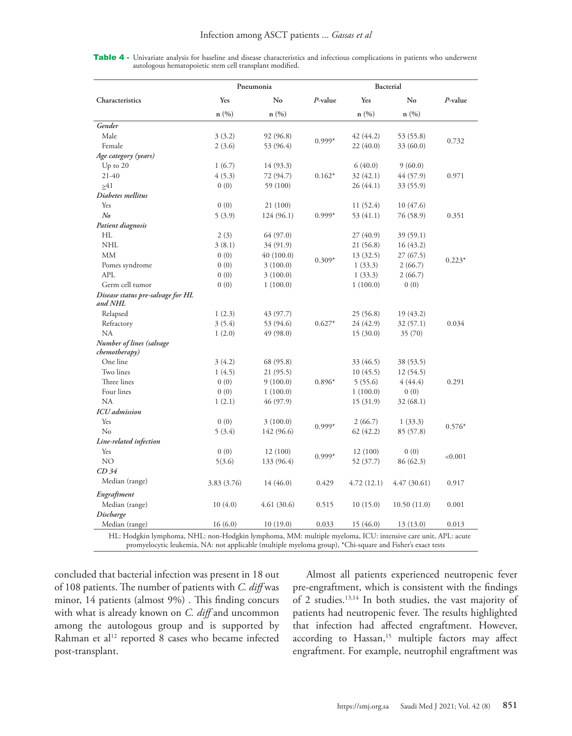|  |  |  |                                                         |  | <b>Table 4 -</b> Univariate analysis for baseline and disease characteristics and infectious complications in patients who underwent |  |  |
|--|--|--|---------------------------------------------------------|--|--------------------------------------------------------------------------------------------------------------------------------------|--|--|
|  |  |  | autologous hematopoietic stem cell transplant modified. |  |                                                                                                                                      |  |  |

|                                              |             | Pneumonia  |            | Bacterial  |              |            |
|----------------------------------------------|-------------|------------|------------|------------|--------------|------------|
| Characteristics                              | Yes         | No         | $P$ -value | Yes        | No           | $P$ -value |
|                                              | n(%)        | n(%)       |            | n(%)       | n(%)         |            |
| Gender                                       |             |            |            |            |              |            |
| Male                                         | 3(3.2)      | 92 (96.8)  |            | 42 (44.2)  | 53 (55.8)    |            |
| Female                                       | 2(3.6)      | 53 (96.4)  | $0.999*$   | 22(40.0)   | 33 (60.0)    | 0.732      |
| Age category (years)                         |             |            |            |            |              |            |
| Up to $20$                                   | 1(6.7)      | 14 (93.3)  |            | 6(40.0)    | 9(60.0)      |            |
| 21-40                                        | 4(5.3)      | 72 (94.7)  | $0.162*$   | 32(42.1)   | 44 (57.9)    | 0.971      |
| >41                                          | 0(0)        | 59 (100)   |            | 26 (44.1)  | 33 (55.9)    |            |
| Diabetes mellitus                            |             |            |            |            |              |            |
| Yes                                          | 0(0)        | 21 (100)   |            | 11(52.4)   | 10(47.6)     |            |
| $N_{0}$                                      | 5(3.9)      | 124 (96.1) | $0.999*$   | 53 (41.1)  | 76 (58.9)    | 0.351      |
| Patient diagnosis                            |             |            |            |            |              |            |
| НL                                           | 2(3)        | 64 (97.0)  |            | 27(40.9)   | 39 (59.1)    |            |
| <b>NHL</b>                                   | 3(8.1)      | 34 (91.9)  |            | 21 (56.8)  | 16(43.2)     |            |
| <b>MM</b>                                    | 0(0)        | 40 (100.0) |            | 13 (32.5)  | 27 (67.5)    |            |
| Pomes syndrome                               | 0(0)        | 3(100.0)   | $0.309*$   | 1(33.3)    | 2(66.7)      | $0.223*$   |
| <b>APL</b>                                   | 0(0)        | 3(100.0)   |            | 1(33.3)    | 2(66.7)      |            |
| Germ cell tumor                              | 0(0)        | 1(100.0)   |            | 1(100.0)   | 0(0)         |            |
| Disease status pre-salvage for HL<br>and NHL |             |            |            |            |              |            |
| Relapsed                                     | 1(2.3)      | 43 (97.7)  |            | 25 (56.8)  | 19 (43.2)    |            |
| Refractory                                   | 3(5.4)      | 53 (94.6)  | $0.627*$   | 24 (42.9)  | 32 (57.1)    | 0.034      |
| <b>NA</b>                                    | 1(2.0)      | 49 (98.0)  |            | 15(30.0)   | 35 (70)      |            |
| Number of lines (salvage<br>chemotherapy)    |             |            |            |            |              |            |
| One line                                     | 3(4.2)      | 68 (95.8)  |            | 33 (46.5)  | 38 (53.5)    |            |
| Two lines                                    | 1(4.5)      | 21 (95.5)  |            | 10(45.5)   | 12 (54.5)    |            |
| Three lines                                  | 0(0)        | 9(100.0)   | $0.896*$   | 5(55.6)    | 4(44.4)      | 0.291      |
| Four lines                                   | 0(0)        | 1(100.0)   |            | 1(100.0)   | 0(0)         |            |
| <b>NA</b>                                    | 1(2.1)      | 46 (97.9)  |            | 15(31.9)   | 32 (68.1)    |            |
| <b>ICU</b> admission                         |             |            |            |            |              |            |
| Yes                                          | 0(0)        | 3(100.0)   |            | 2(66.7)    | 1(33.3)      |            |
| N <sub>o</sub>                               | 5(3.4)      | 142 (96.6) | $0.999*$   | 62(42.2)   | 85 (57.8)    | $0.576*$   |
| Line-related infection                       |             |            |            |            |              |            |
| Yes                                          | 0(0)        | 12(100)    |            | 12(100)    | 0(0)         |            |
| NO                                           | 5(3.6)      | 133 (96.4) | $0.999*$   | 52 (37.7)  | 86 (62.3)    | < 0.001    |
| CD <sub>34</sub>                             |             |            |            |            |              |            |
| Median (range)                               | 3.83 (3.76) | 14 (46.0)  | 0.429      | 4.72(12.1) | 4.47 (30.61) | 0.917      |
| Engraftment                                  |             |            |            |            |              |            |
| Median (range)                               | 10(4.0)     | 4.61(30.6) | 0.515      | 10(15.0)   | 10.50(11.0)  | 0.001      |
| Discharge                                    |             |            |            |            |              |            |
| Median (range)                               | 16(6.0)     | 10(19.0)   | 0.033      | 15(46.0)   | 13(13.0)     | 0.013      |

concluded that bacterial infection was present in 18 out of 108 patients. The number of patients with *C. diff* was minor, 14 patients (almost 9%) . This finding concurs with what is already known on *C. diff* and uncommon among the autologous group and is supported by Rahman et al<sup>12</sup> reported 8 cases who became infected post-transplant.

Almost all patients experienced neutropenic fever pre-engraftment, which is consistent with the findings of 2 studies[.13](#page-5-11)[,14](#page-5-12) In both studies, the vast majority of patients had neutropenic fever. The results highlighted that infection had affected engraftment. However, according to Hassan,<sup>15</sup> multiple factors may affect engraftment. For example, neutrophil engraftment was